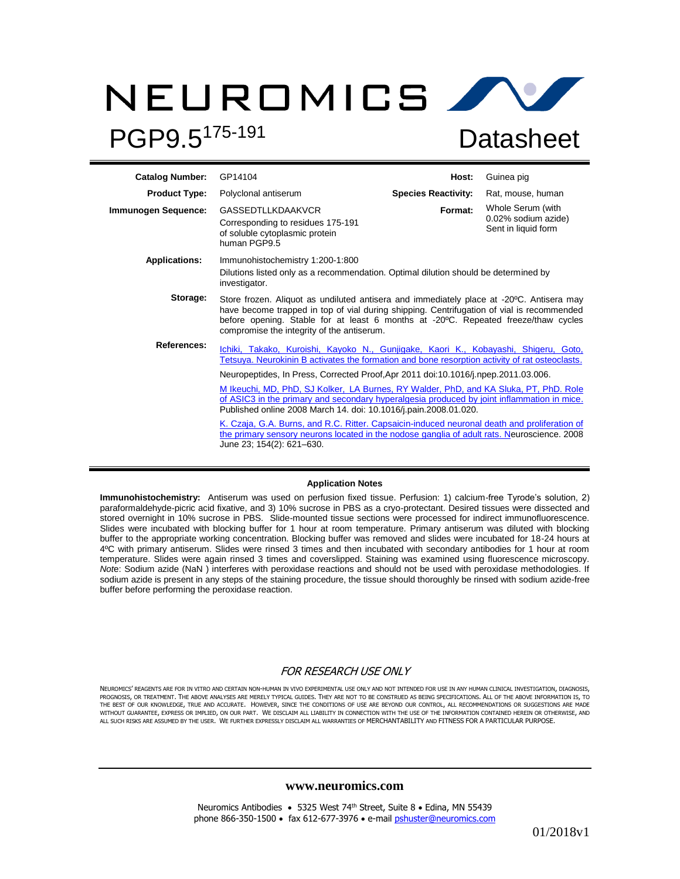# NEUROMICS AV PGP9.5175-191 **Datasheet**

| <b>Catalog Number:</b> | GP14104                                                                                                                                                                                                                                                                                                                                                                                                                                                                                                                                                                                                                                                                                                                                                            | Host:                      | Guinea pig                                                      |  |  |  |
|------------------------|--------------------------------------------------------------------------------------------------------------------------------------------------------------------------------------------------------------------------------------------------------------------------------------------------------------------------------------------------------------------------------------------------------------------------------------------------------------------------------------------------------------------------------------------------------------------------------------------------------------------------------------------------------------------------------------------------------------------------------------------------------------------|----------------------------|-----------------------------------------------------------------|--|--|--|
| <b>Product Type:</b>   | Polyclonal antiserum                                                                                                                                                                                                                                                                                                                                                                                                                                                                                                                                                                                                                                                                                                                                               | <b>Species Reactivity:</b> | Rat, mouse, human                                               |  |  |  |
| Immunogen Sequence:    | <b>GASSEDTLLKDAAKVCR</b><br>Corresponding to residues 175-191<br>of soluble cytoplasmic protein<br>human PGP9.5                                                                                                                                                                                                                                                                                                                                                                                                                                                                                                                                                                                                                                                    | Format:                    | Whole Serum (with<br>0.02% sodium azide)<br>Sent in liquid form |  |  |  |
| <b>Applications:</b>   | Immunohistochemistry 1:200-1:800<br>Dilutions listed only as a recommendation. Optimal dilution should be determined by<br>investigator.                                                                                                                                                                                                                                                                                                                                                                                                                                                                                                                                                                                                                           |                            |                                                                 |  |  |  |
| Storage:               | Store frozen. Aliquot as undiluted antisera and immediately place at -20°C. Antisera may<br>have become trapped in top of vial during shipping. Centrifugation of vial is recommended<br>before opening. Stable for at least 6 months at -20°C. Repeated freeze/thaw cycles<br>compromise the integrity of the antiserum.                                                                                                                                                                                                                                                                                                                                                                                                                                          |                            |                                                                 |  |  |  |
| <b>References:</b>     | Ichiki, Takako, Kuroishi, Kayoko N., Gunjigake, Kaori K., Kobayashi, Shigeru, Goto,<br>Tetsuya. Neurokinin B activates the formation and bone resorption activity of rat osteoclasts.<br>Neuropeptides, In Press, Corrected Proof, Apr 2011 doi:10.1016/j.npep.2011.03.006.<br>M Ikeuchi, MD, PhD, SJ Kolker, LA Burnes, RY Walder, PhD, and KA Sluka, PT, PhD. Role<br>of ASIC3 in the primary and secondary hyperalgesia produced by joint inflammation in mice.<br>Published online 2008 March 14. doi: 10.1016/j.pain.2008.01.020.<br>K. Czaja, G.A. Burns, and R.C. Ritter. Capsaicin-induced neuronal death and proliferation of<br>the primary sensory neurons located in the nodose ganglia of adult rats. Neuroscience. 2008<br>June 23; 154(2): 621-630. |                            |                                                                 |  |  |  |

#### **Application Notes**

**Immunohistochemistry:** Antiserum was used on perfusion fixed tissue. Perfusion: 1) calcium-free Tyrode's solution, 2) paraformaldehyde-picric acid fixative, and 3) 10% sucrose in PBS as a cryo-protectant. Desired tissues were dissected and stored overnight in 10% sucrose in PBS. Slide-mounted tissue sections were processed for indirect immunofluorescence. Slides were incubated with blocking buffer for 1 hour at room temperature. Primary antiserum was diluted with blocking buffer to the appropriate working concentration. Blocking buffer was removed and slides were incubated for 18-24 hours at 4ºC with primary antiserum. Slides were rinsed 3 times and then incubated with secondary antibodies for 1 hour at room temperature. Slides were again rinsed 3 times and coverslipped. Staining was examined using fluorescence microscopy. *Not*e: Sodium azide (NaN ) interferes with peroxidase reactions and should not be used with peroxidase methodologies. If sodium azide is present in any steps of the staining procedure, the tissue should thoroughly be rinsed with sodium azide-free buffer before performing the peroxidase reaction.

# FOR RESEARCH USE ONLY

NEUROMICS' REAGENTS ARE FOR IN VITRO AND CERTAIN NON-HUMAN IN VIVO EXPERIMENTAL USE ONLY AND NOT INTENDED FOR USE IN ANY HUMAN CLINICAL INVESTIGATION, DIAGNOSIS, PROGNOSIS, OR TREATMENT. THE ABOVE ANALYSES ARE MERELY TYPICAL GUIDES. THEY ARE NOT TO BE CONSTRUED AS BEING SPECIFICATIONS. ALL OF THE ABOVE INFORMATION IS, TO THE BEST OF OUR KNOWLEDGE, TRUE AND ACCURATE. HOWEVER, SINCE THE CONDITIONS OF USE ARE BEYOND OUR CONTROL, ALL RECOMMENDATIONS OR SUGGESTIONS ARE MADE<br>WITHOUT GUARANTEE, EXPRESS OR IMPLIED, ON OUR PART. WE DISCLAIM ALL LIA ALL SUCH RISKS ARE ASSUMED BY THE USER. WE FURTHER EXPRESSLY DISCLAIM ALL WARRANTIES OF MERCHANTABILITY AND FITNESS FOR A PARTICULAR PURPOSE.

### **www.neuromics.com**

Neuromics Antibodies • 5325 West 74<sup>th</sup> Street, Suite 8 • Edina, MN 55439 phone 866-350-1500 • fax 612-677-3976 • e-mai[l pshuster@neuromics.com](mailto:pshuster@neuromics.com)